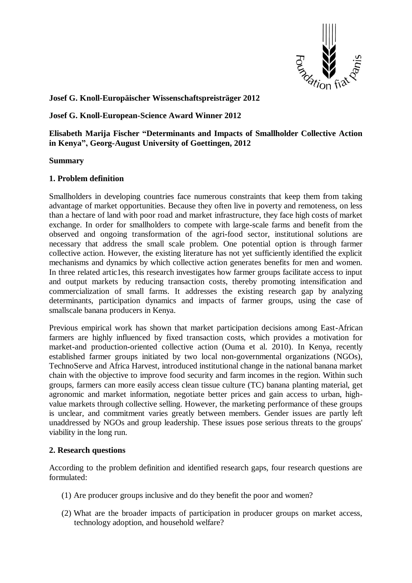

# **Josef G. Knoll-Europäischer Wissenschaftspreisträger 2012**

### **Josef G. Knoll-European-Science Award Winner 2012**

**Elisabeth Marija Fischer "Determinants and Impacts of Smallholder Collective Action in Kenya", Georg-August University of Goettingen, 2012**

#### **Summary**

## **1. Problem definition**

Smallholders in developing countries face numerous constraints that keep them from taking advantage of market opportunities. Because they often live in poverty and remoteness, on less than a hectare of land with poor road and market infrastructure, they face high costs of market exchange. In order for smallholders to compete with large-scale farms and benefit from the observed and ongoing transformation of the agri-food sector, institutional solutions are necessary that address the small scale problem. One potential option is through farmer collective action. However, the existing literature has not yet sufficiently identified the explicit mechanisms and dynamics by which collective action generates benefits for men and women. In three related artic1es, this research investigates how farmer groups facilitate access to input and output markets by reducing transaction costs, thereby promoting intensification and commercialization of small farms. It addresses the existing research gap by analyzing determinants, participation dynamics and impacts of farmer groups, using the case of smallscale banana producers in Kenya.

Previous empirical work has shown that market participation decisions among East-African farmers are highly influenced by fixed transaction costs, which provides a motivation for market-and production-oriented collective action (Ouma et al. 2010). In Kenya, recently established farmer groups initiated by two local non-governmental organizations (NGOs), TechnoServe and Africa Harvest, introduced institutional change in the national banana market chain with the objective to improve food security and farm incomes in the region. Within such groups, farmers can more easily access clean tissue culture (TC) banana planting material, get agronomic and market information, negotiate better prices and gain access to urban, highvalue markets through collective selling. However, the marketing performance of these groups is unclear, and commitment varies greatly between members. Gender issues are partly left unaddressed by NGOs and group leadership. These issues pose serious threats to the groups' viability in the long run.

#### **2. Research questions**

According to the problem definition and identified research gaps, four research questions are formulated:

- (1) Are producer groups inclusive and do they benefit the poor and women?
- (2) What are the broader impacts of participation in producer groups on market access, technology adoption, and household welfare?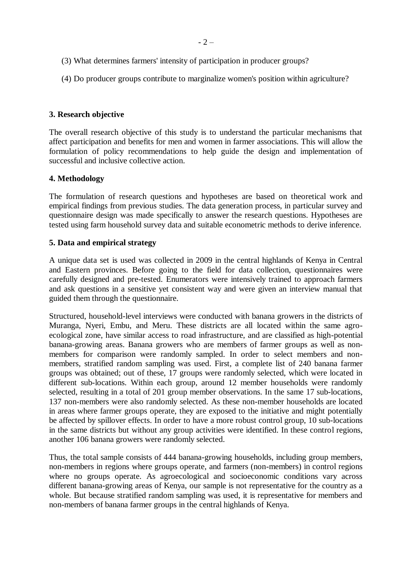- (3) What determines farmers' intensity of participation in producer groups?
- (4) Do producer groups contribute to marginalize women's position within agriculture?

### **3. Research objective**

The overall research objective of this study is to understand the particular mechanisms that affect participation and benefits for men and women in farmer associations. This will allow the formulation of policy recommendations to help guide the design and implementation of successful and inclusive collective action.

## **4. Methodology**

The formulation of research questions and hypotheses are based on theoretical work and empirical findings from previous studies. The data generation process, in particular survey and questionnaire design was made specifically to answer the research questions. Hypotheses are tested using farm household survey data and suitable econometric methods to derive inference.

## **5. Data and empirical strategy**

A unique data set is used was collected in 2009 in the central highlands of Kenya in Central and Eastern provinces. Before going to the field for data collection, questionnaires were carefully designed and pre-tested. Enumerators were intensively trained to approach farmers and ask questions in a sensitive yet consistent way and were given an interview manual that guided them through the questionnaire.

Structured, household-level interviews were conducted with banana growers in the districts of Muranga, Nyeri, Embu, and Meru. These districts are all located within the same agroecological zone, have similar access to road infrastructure, and are classified as high-potential banana-growing areas. Banana growers who are members of farmer groups as well as nonmembers for comparison were randomly sampled. In order to select members and nonmembers, stratified random sampling was used. First, a complete list of 240 banana farmer groups was obtained; out of these, 17 groups were randomly selected, which were located in different sub-locations. Within each group, around 12 member households were randomly selected, resulting in a total of 201 group member observations. In the same 17 sub-locations, 137 non-members were also randomly selected. As these non-member households are located in areas where farmer groups operate, they are exposed to the initiative and might potentially be affected by spillover effects. In order to have a more robust control group, 10 sub-locations in the same districts but without any group activities were identified. In these control regions, another 106 banana growers were randomly selected.

Thus, the total sample consists of 444 banana-growing households, including group members, non-members in regions where groups operate, and farmers (non-members) in control regions where no groups operate. As agroecological and socioeconomic conditions vary across different banana-growing areas of Kenya, our sample is not representative for the country as a whole. But because stratified random sampling was used, it is representative for members and non-members of banana farmer groups in the central highlands of Kenya.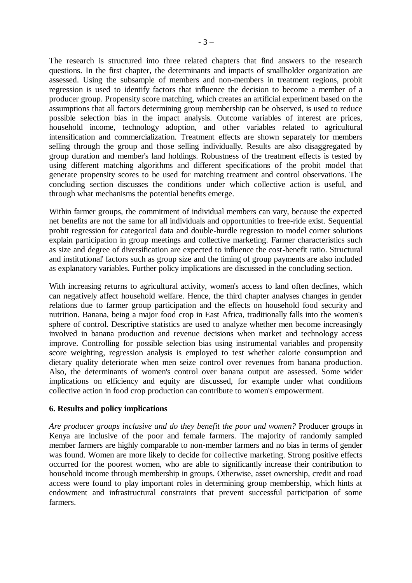The research is structured into three related chapters that find answers to the research questions. In the first chapter, the determinants and impacts of smallholder organization are assessed. Using the subsample of members and non-members in treatment regions, probit regression is used to identify factors that influence the decision to become a member of a producer group. Propensity score matching, which creates an artificial experiment based on the assumptions that all factors determining group membership can be observed, is used to reduce possible selection bias in the impact analysis. Outcome variables of interest are prices, household income, technology adoption, and other variables related to agricultural intensification and commercialization. Treatment effects are shown separately for members selling through the group and those selling individually. Results are also disaggregated by group duration and member's land holdings. Robustness of the treatment effects is tested by using different matching algorithms and different specifications of the probit model that generate propensity scores to be used for matching treatment and control observations. The concluding section discusses the conditions under which collective action is useful, and through what mechanisms the potential benefits emerge.

Within farmer groups, the commitment of individual members can vary, because the expected net benefits are not the same for all individuals and opportunities to free-ride exist. Sequential probit regression for categorical data and double-hurdle regression to model corner solutions explain participation in group meetings and collective marketing. Farmer characteristics such as size and degree of diversification are expected to influence the cost-benefit ratio. Structural and institutional' factors such as group size and the timing of group payments are also included as explanatory variables. Further policy implications are discussed in the concluding section.

With increasing returns to agricultural activity, women's access to land often declines, which can negatively affect household welfare. Hence, the third chapter analyses changes in gender relations due to farmer group participation and the effects on household food security and nutrition. Banana, being a major food crop in East Africa, traditionally falls into the women's sphere of control. Descriptive statistics are used to analyze whether men become increasingly involved in banana production and revenue decisions when market and technology access improve. Controlling for possible selection bias using instrumental variables and propensity score weighting, regression analysis is employed to test whether calorie consumption and dietary quality deteriorate when men seize control over revenues from banana production. Also, the determinants of women's control over banana output are assessed. Some wider implications on efficiency and equity are discussed, for example under what conditions collective action in food crop production can contribute to women's empowerment.

#### **6. Results and policy implications**

*Are producer groups inclusive and do they benefit the poor and women?* Producer groups in Kenya are inclusive of the poor and female farmers. The majority of randomly sampled member farmers are highly comparable to non-member farmers and no bias in terms of gender was found. Women are more likely to decide for col1ective marketing. Strong positive effects occurred for the poorest women, who are able to significantly increase their contribution to household income through membership in groups. Otherwise, asset ownership, credit and road access were found to play important roles in determining group membership, which hints at endowment and infrastructural constraints that prevent successful participation of some farmers.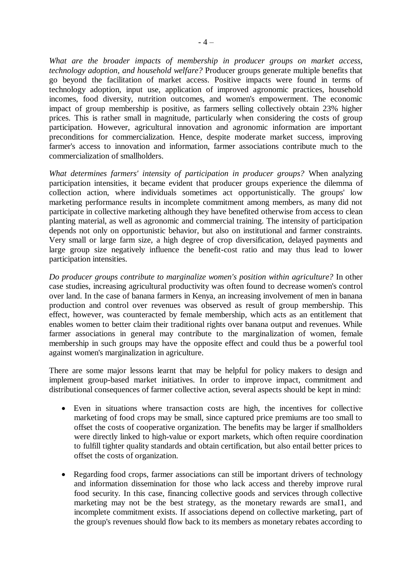*What are the broader impacts of membership in producer groups on market access, technology adoption, and household welfare?* Producer groups generate multiple benefits that go beyond the facilitation of market access. Positive impacts were found in terms of technology adoption, input use, application of improved agronomic practices, household incomes, food diversity, nutrition outcomes, and women's empowerment. The economic impact of group membership is positive, as farmers selling collectively obtain 23% higher prices. This is rather small in magnitude, particularly when considering the costs of group participation. However, agricultural innovation and agronomic information are important preconditions for commercialization. Hence, despite moderate market success, improving farmer's access to innovation and information, farmer associations contribute much to the commercialization of smallholders.

*What determines farmers' intensity of participation in producer groups?* When analyzing participation intensities, it became evident that producer groups experience the dilemma of collection action, where individuals sometimes act opportunistically. The groups' low marketing performance results in incomplete commitment among members, as many did not participate in collective marketing although they have benefited otherwise from access to clean planting material, as well as agronomic and commercial training. The intensity of participation depends not only on opportunistic behavior, but also on institutional and farmer constraints. Very small or large farm size, a high degree of crop diversification, delayed payments and large group size negatively influence the benefit-cost ratio and may thus lead to lower participation intensities.

*Do producer groups contribute to marginalize women's position within agriculture?* In other case studies, increasing agricultural productivity was often found to decrease women's control over land. In the case of banana farmers in Kenya, an increasing involvement of men in banana production and control over revenues was observed as result of group membership. This effect, however, was counteracted by female membership, which acts as an entitlement that enables women to better claim their traditional rights over banana output and revenues. While farmer associations in general may contribute to the marginalization of women, female membership in such groups may have the opposite effect and could thus be a powerful tool against women's marginalization in agriculture.

There are some major lessons learnt that may be helpful for policy makers to design and implement group-based market initiatives. In order to improve impact, commitment and distributional consequences of farmer collective action, several aspects should be kept in mind:

- Even in situations where transaction costs are high, the incentives for collective marketing of food crops may be small, since captured price premiums are too small to offset the costs of cooperative organization. The benefits may be larger if smallholders were directly linked to high-value or export markets, which often require coordination to fulfill tighter quality standards and obtain certification, but also entail better prices to offset the costs of organization.
- Regarding food crops, farmer associations can still be important drivers of technology and information dissemination for those who lack access and thereby improve rural food security. In this case, financing collective goods and services through collective marketing may not be the best strategy, as the monetary rewards are smaI1, and incomplete commitment exists. If associations depend on collective marketing, part of the group's revenues should flow back to its members as monetary rebates according to